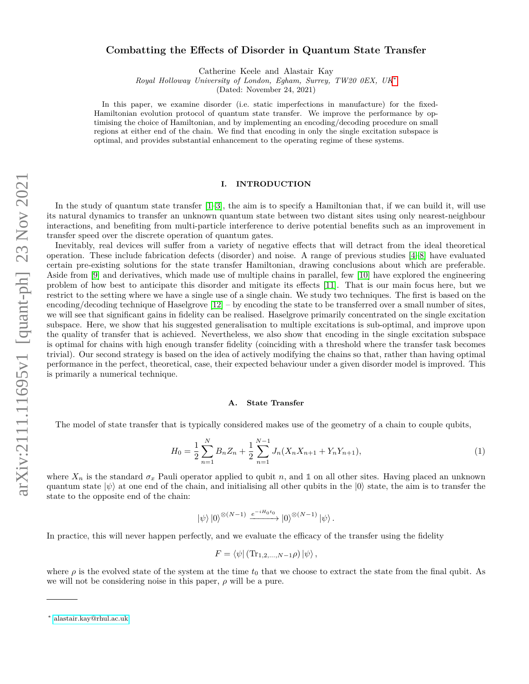# **Combatting the Effects of Disorder in Quantum State Transfer**

Catherine Keele and Alastair Kay

*Royal Holloway University of London, Egham, Surrey, TW20 0EX, UK*[∗](#page-0-0)

(Dated: November 24, 2021)

In this paper, we examine disorder (i.e. static imperfections in manufacture) for the fixed-Hamiltonian evolution protocol of quantum state transfer. We improve the performance by optimising the choice of Hamiltonian, and by implementing an encoding/decoding procedure on small regions at either end of the chain. We find that encoding in only the single excitation subspace is optimal, and provides substantial enhancement to the operating regime of these systems.

# **I. INTRODUCTION**

In the study of quantum state transfer  $[1-3]$  $[1-3]$ , the aim is to specify a Hamiltonian that, if we can build it, will use its natural dynamics to transfer an unknown quantum state between two distant sites using only nearest-neighbour interactions, and benefiting from multi-particle interference to derive potential benefits such as an improvement in transfer speed over the discrete operation of quantum gates.

Inevitably, real devices will suffer from a variety of negative effects that will detract from the ideal theoretical operation. These include fabrication defects (disorder) and noise. A range of previous studies [\[4–](#page-10-2)[8\]](#page-10-3) have evaluated certain pre-existing solutions for the state transfer Hamiltonian, drawing conclusions about which are preferable. Aside from [\[9\]](#page-11-0) and derivatives, which made use of multiple chains in parallel, few [\[10\]](#page-11-1) have explored the engineering problem of how best to anticipate this disorder and mitigate its effects [\[11\]](#page-11-2). That is our main focus here, but we restrict to the setting where we have a single use of a single chain. We study two techniques. The first is based on the encoding/decoding technique of Haselgrove  $[12]$  – by encoding the state to be transferred over a small number of sites, we will see that significant gains in fidelity can be realised. Haselgrove primarily concentrated on the single excitation subspace. Here, we show that his suggested generalisation to multiple excitations is sub-optimal, and improve upon the quality of transfer that is achieved. Nevertheless, we also show that encoding in the single excitation subspace is optimal for chains with high enough transfer fidelity (coinciding with a threshold where the transfer task becomes trivial). Our second strategy is based on the idea of actively modifying the chains so that, rather than having optimal performance in the perfect, theoretical, case, their expected behaviour under a given disorder model is improved. This is primarily a numerical technique.

#### **A. State Transfer**

The model of state transfer that is typically considered makes use of the geometry of a chain to couple qubits,

<span id="page-0-1"></span>
$$
H_0 = \frac{1}{2} \sum_{n=1}^{N} B_n Z_n + \frac{1}{2} \sum_{n=1}^{N-1} J_n (X_n X_{n+1} + Y_n Y_{n+1}),
$$
\n(1)

where  $X_n$  is the standard  $\sigma_x$  Pauli operator applied to qubit *n*, and 1 on all other sites. Having placed an unknown quantum state  $|\psi\rangle$  at one end of the chain, and initialising all other qubits in the  $|0\rangle$  state, the aim is to transfer the state to the opposite end of the chain:

$$
|\psi\rangle\,|0\rangle^{\otimes (N-1)} \xrightarrow{e^{-iH_0t_0}} |0\rangle^{\otimes (N-1)} \,|\psi\rangle.
$$

In practice, this will never happen perfectly, and we evaluate the efficacy of the transfer using the fidelity

$$
F = \langle \psi | (\text{Tr}_{1,2,...,N-1} \rho) | \psi \rangle ,
$$

where  $\rho$  is the evolved state of the system at the time  $t_0$  that we choose to extract the state from the final qubit. As we will not be considering noise in this paper, *ρ* will be a pure.

<span id="page-0-0"></span><sup>∗</sup> [alastair.kay@rhul.ac.uk](mailto:alastair.kay@rhul.ac.uk)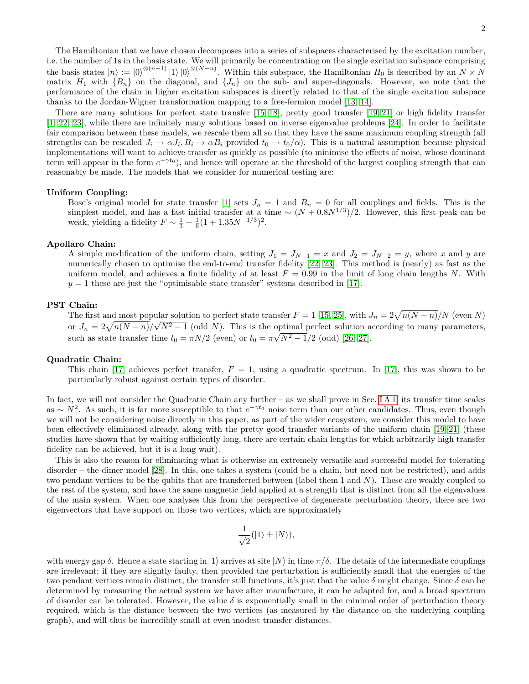The Hamiltonian that we have chosen decomposes into a series of subspaces characterised by the excitation number, i.e. the number of 1s in the basis state. We will primarily be concentrating on the single excitation subspace comprising the basis states  $|n\rangle := |0\rangle^{\otimes (n-1)} |1\rangle |0\rangle^{\otimes (N-n)}$ . Within this subspace, the Hamiltonian  $H_0$  is described by an  $N \times N$ matrix  $H_1$  with  ${B_n}$  on the diagonal, and  ${J_n}$  on the sub- and super-diagonals. However, we note that the performance of the chain in higher excitation subspaces is directly related to that of the single excitation subspace thanks to the Jordan-Wigner transformation mapping to a free-fermion model [\[13,](#page-11-4) [14\]](#page-11-5).

There are many solutions for perfect state transfer [\[15](#page-11-6)[–18\]](#page-11-7), pretty good transfer [\[19–](#page-11-8)[21\]](#page-11-9) or high fidelity transfer [\[1,](#page-10-0) [22,](#page-11-10) [23\]](#page-11-11), while there are infinitely many solutions based on inverse eigenvalue problems [\[24\]](#page-11-12). In order to facilitate fair comparison between these models, we rescale them all so that they have the same maximum coupling strength (all strengths can be rescaled  $J_i \to \alpha J_i$ ,  $B_i \to \alpha B_i$  provided  $t_0 \to t_0/\alpha$ ). This is a natural assumption because physical implementations will want to achieve transfer as quickly as possible (to minimise the effects of noise, whose dominant term will appear in the form  $e^{-\gamma t_0}$ ), and hence will operate at the threshold of the largest coupling strength that can reasonably be made. The models that we consider for numerical testing are:

# **Uniform Coupling:**

Bose's original model for state transfer [\[1\]](#page-10-0) sets  $J_n = 1$  and  $B_n = 0$  for all couplings and fields. This is the simplest model, and has a fast initial transfer at a time  $\sim (N + 0.8N^{1/3})/2$ . However, this first peak can be weak, yielding a fidelity  $F \sim \frac{1}{3} + \frac{1}{6}(1 + 1.35N^{-1/3})^2$ .

# **Apollaro Chain:**

A simple modification of the uniform chain, setting  $J_1 = J_{N-1} = x$  and  $J_2 = J_{N-2} = y$ , where *x* and *y* are numerically chosen to optimise the end-to-end transfer fidelity [\[22,](#page-11-10) [23\]](#page-11-11). This method is (nearly) as fast as the uniform model, and achieves a finite fidelity of at least  $F = 0.99$  in the limit of long chain lengths N. With  $y = 1$  these are just the "optimisable state transfer" systems described in [\[17\]](#page-11-13).

# **PST Chain:**

The first and most popular solution to perfect state transfer  $F = 1$  [\[15,](#page-11-6) [25\]](#page-11-14), with  $J_n = 2\sqrt{n(N - n)}/N$  (even *N*) or  $J_n = 2\sqrt{n(N-n)}/\sqrt{N^2-1}$  (odd *N*). This is the optimal perfect solution according to many parameters, such as state transfer time  $t_0 = \pi N/2$  (even) or  $t_0 = \pi \sqrt{N^2 - 1}/2$  (odd) [\[26,](#page-11-15) [27\]](#page-11-16).

### **Quadratic Chain:**

This chain [\[17\]](#page-11-13) achieves perfect transfer,  $F = 1$ , using a quadratic spectrum. In [17], this was shown to be particularly robust against certain types of disorder.

In fact, we will not consider the Quadratic Chain any further – as we shall prove in Sec. [I A 1,](#page-2-0) its transfer time scales as  $\sim N^2$ . As such, it is far more susceptible to that  $e^{-\gamma t_0}$  noise term than our other candidates. Thus, even though we will not be considering noise directly in this paper, as part of the wider ecosystem, we consider this model to have been effectively eliminated already, along with the pretty good transfer variants of the uniform chain [\[19–](#page-11-8)[21\]](#page-11-9) (these studies have shown that by waiting sufficiently long, there are certain chain lengths for which arbitrarily high transfer fidelity can be achieved, but it is a long wait).

This is also the reason for eliminating what is otherwise an extremely versatile and successful model for tolerating disorder – the dimer model [\[28\]](#page-11-17). In this, one takes a system (could be a chain, but need not be restricted), and adds two pendant vertices to be the qubits that are transferred between (label them 1 and *N*). These are weakly coupled to the rest of the system, and have the same magnetic field applied at a strength that is distinct from all the eigenvalues of the main system. When one analyses this from the perspective of degenerate perturbation theory, there are two eigenvectors that have support on those two vertices, which are approximately

$$
\frac{1}{\sqrt{2}}(|1\rangle\pm|N\rangle),
$$

with energy gap  $\delta$ . Hence a state starting in  $|1\rangle$  arrives at site  $|N\rangle$  in time  $\pi/\delta$ . The details of the intermediate couplings are irrelevant; if they are slightly faulty, then provided the perturbation is sufficiently small that the energies of the two pendant vertices remain distinct, the transfer still functions, it's just that the value  $\delta$  might change. Since  $\delta$  can be determined by measuring the actual system we have after manufacture, it can be adapted for, and a broad spectrum of disorder can be tolerated. However, the value  $\delta$  is exponentially small in the minimal order of perturbation theory required, which is the distance between the two vertices (as measured by the distance on the underlying coupling graph), and will thus be incredibly small at even modest transfer distances.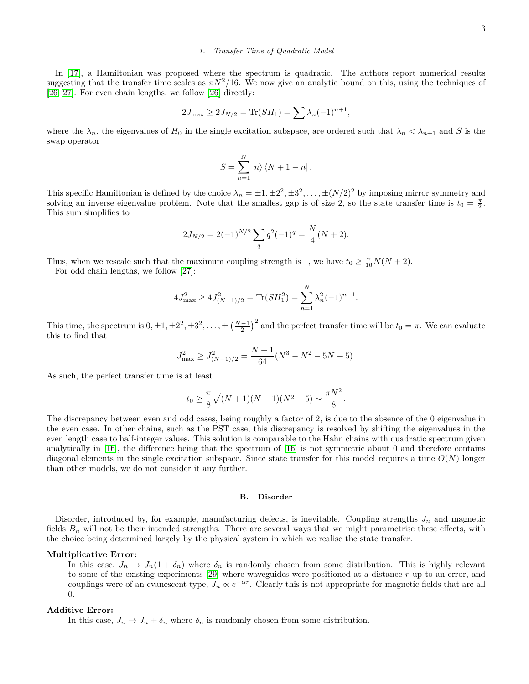# <span id="page-2-0"></span>*1. Transfer Time of Quadratic Model*

In [\[17\]](#page-11-13), a Hamiltonian was proposed where the spectrum is quadratic. The authors report numerical results suggesting that the transfer time scales as  $\pi N^2/16$ . We now give an analytic bound on this, using the techniques of [\[26,](#page-11-15) [27\]](#page-11-16). For even chain lengths, we follow [\[26\]](#page-11-15) directly:

$$
2J_{\max} \ge 2J_{N/2} = \text{Tr}(SH_1) = \sum \lambda_n (-1)^{n+1},
$$

where the  $\lambda_n$ , the eigenvalues of  $H_0$  in the single excitation subspace, are ordered such that  $\lambda_n < \lambda_{n+1}$  and *S* is the swap operator

$$
S = \sum_{n=1}^{N} |n\rangle \langle N+1-n|.
$$

This specific Hamiltonian is defined by the choice  $\lambda_n = \pm 1, \pm 2^2, \pm 3^2, \ldots, \pm (N/2)^2$  by imposing mirror symmetry and solving an inverse eigenvalue problem. Note that the smallest gap is of size 2, so the state transfer time is  $t_0 = \frac{\pi}{2}$ . This sum simplifies to

$$
2J_{N/2} = 2(-1)^{N/2} \sum_{q} q^{2} (-1)^{q} = \frac{N}{4}(N+2).
$$

Thus, when we rescale such that the maximum coupling strength is 1, we have  $t_0 \geq \frac{\pi}{16}N(N+2)$ .

For odd chain lengths, we follow [\[27\]](#page-11-16):

$$
4J_{\max}^2 \ge 4J_{(N-1)/2}^2 = \text{Tr}(SH_1^2) = \sum_{n=1}^N \lambda_n^2 (-1)^{n+1}.
$$

This time, the spectrum is  $0, \pm 1, \pm 2^2, \pm 3^2, \ldots, \pm \left(\frac{N-1}{2}\right)^2$  and the perfect transfer time will be  $t_0 = \pi$ . We can evaluate this to find that

$$
J_{\max}^2 \ge J_{(N-1)/2}^2 = \frac{N+1}{64} (N^3 - N^2 - 5N + 5).
$$

As such, the perfect transfer time is at least

$$
t_0 \ge \frac{\pi}{8} \sqrt{(N+1)(N-1)(N^2-5)} \sim \frac{\pi N^2}{8}.
$$

The discrepancy between even and odd cases, being roughly a factor of 2, is due to the absence of the 0 eigenvalue in the even case. In other chains, such as the PST case, this discrepancy is resolved by shifting the eigenvalues in the even length case to half-integer values. This solution is comparable to the Hahn chains with quadratic spectrum given analytically in [\[16\]](#page-11-18), the difference being that the spectrum of [\[16\]](#page-11-18) is not symmetric about 0 and therefore contains diagonal elements in the single excitation subspace. Since state transfer for this model requires a time *O*(*N*) longer than other models, we do not consider it any further.

### **B. Disorder**

Disorder, introduced by, for example, manufacturing defects, is inevitable. Coupling strengths  $J_n$  and magnetic fields  $B_n$  will not be their intended strengths. There are several ways that we might parametrise these effects, with the choice being determined largely by the physical system in which we realise the state transfer.

### **Multiplicative Error:**

In this case,  $J_n \to J_n(1 + \delta_n)$  where  $\delta_n$  is randomly chosen from some distribution. This is highly relevant to some of the existing experiments [\[29\]](#page-11-19) where waveguides were positioned at a distance *r* up to an error, and couplings were of an evanescent type,  $J_n \propto e^{-\alpha r}$ . Clearly this is not appropriate for magnetic fields that are all 0.

### **Additive Error:**

In this case,  $J_n \to J_n + \delta_n$  where  $\delta_n$  is randomly chosen from some distribution.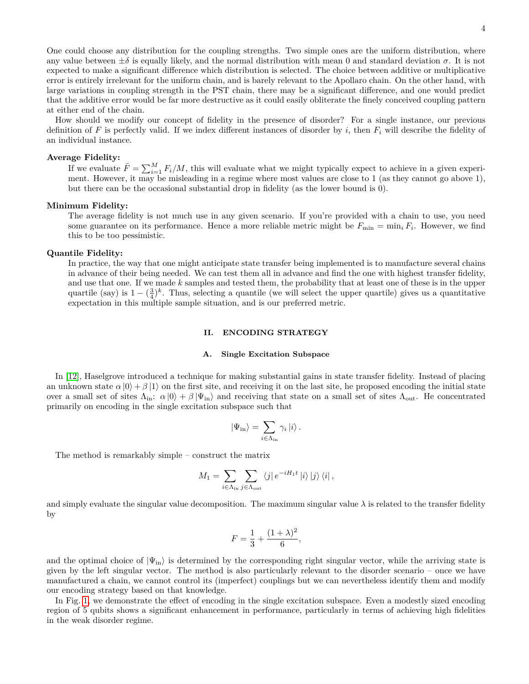One could choose any distribution for the coupling strengths. Two simple ones are the uniform distribution, where any value between  $\pm \delta$  is equally likely, and the normal distribution with mean 0 and standard deviation  $\sigma$ . It is not expected to make a significant difference which distribution is selected. The choice between additive or multiplicative error is entirely irrelevant for the uniform chain, and is barely relevant to the Apollaro chain. On the other hand, with large variations in coupling strength in the PST chain, there may be a significant difference, and one would predict that the additive error would be far more destructive as it could easily obliterate the finely conceived coupling pattern at either end of the chain.

How should we modify our concept of fidelity in the presence of disorder? For a single instance, our previous definition of *F* is perfectly valid. If we index different instances of disorder by *i*, then *F<sup>i</sup>* will describe the fidelity of an individual instance.

### **Average Fidelity:**

If we evaluate  $\bar{F} = \sum_{i=1}^{M} F_i/M$ , this will evaluate what we might typically expect to achieve in a given experiment. However, it may be misleading in a regime where most values are close to 1 (as they cannot go above 1), but there can be the occasional substantial drop in fidelity (as the lower bound is 0).

# **Minimum Fidelity:**

The average fidelity is not much use in any given scenario. If you're provided with a chain to use, you need some guarantee on its performance. Hence a more reliable metric might be  $F_{\min} = \min_i F_i$ . However, we find this to be too pessimistic.

### **Quantile Fidelity:**

In practice, the way that one might anticipate state transfer being implemented is to manufacture several chains in advance of their being needed. We can test them all in advance and find the one with highest transfer fidelity, and use that one. If we made *k* samples and tested them, the probability that at least one of these is in the upper quartile (say) is  $1 - (\frac{3}{4})^k$ . Thus, selecting a quantile (we will select the upper quartile) gives us a quantitative expectation in this multiple sample situation, and is our preferred metric.

# **II. ENCODING STRATEGY**

### **A. Single Excitation Subspace**

In [\[12\]](#page-11-3), Haselgrove introduced a technique for making substantial gains in state transfer fidelity. Instead of placing an unknown state  $\alpha |0\rangle + \beta |1\rangle$  on the first site, and receiving it on the last site, he proposed encoding the initial state over a small set of sites  $\Lambda_{\rm in}: \alpha |0\rangle + \beta |\Psi_{\rm in}\rangle$  and receiving that state on a small set of sites  $\Lambda_{\rm out}$ . He concentrated primarily on encoding in the single excitation subspace such that

$$
|\Psi_{\rm in}\rangle = \sum_{i\in\Lambda_{\rm in}} \gamma_i |i\rangle.
$$

The method is remarkably simple – construct the matrix

$$
M_1 = \sum_{i \in \Lambda_{\rm in}} \sum_{j \in \Lambda_{\rm out}} \langle j | e^{-iH_1 t} | i \rangle | j \rangle \langle i |,
$$

and simply evaluate the singular value decomposition. The maximum singular value  $\lambda$  is related to the transfer fidelity by

$$
F=\frac{1}{3}+\frac{(1+\lambda)^2}{6},
$$

and the optimal choice of  $|\Psi_{\text{in}}\rangle$  is determined by the corresponding right singular vector, while the arriving state is given by the left singular vector. The method is also particularly relevant to the disorder scenario – once we have manufactured a chain, we cannot control its (imperfect) couplings but we can nevertheless identify them and modify our encoding strategy based on that knowledge.

In Fig. [1,](#page-4-0) we demonstrate the effect of encoding in the single excitation subspace. Even a modestly sized encoding region of 5 qubits shows a significant enhancement in performance, particularly in terms of achieving high fidelities in the weak disorder regime.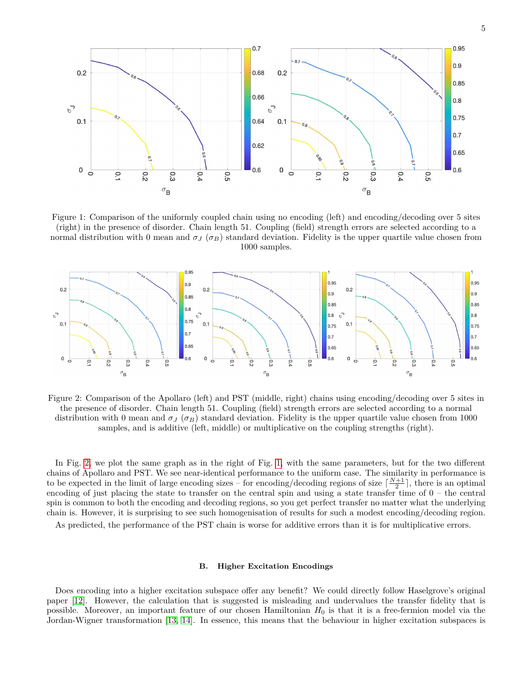<span id="page-4-0"></span>

Figure 1: Comparison of the uniformly coupled chain using no encoding (left) and encoding/decoding over 5 sites (right) in the presence of disorder. Chain length 51. Coupling (field) strength errors are selected according to a normal distribution with 0 mean and  $\sigma$ *J* ( $\sigma$ *B*) standard deviation. Fidelity is the upper quartile value chosen from 1000 samples.

<span id="page-4-1"></span>

Figure 2: Comparison of the Apollaro (left) and PST (middle, right) chains using encoding/decoding over 5 sites in the presence of disorder. Chain length 51. Coupling (field) strength errors are selected according to a normal distribution with 0 mean and  $\sigma_J$  ( $\sigma_B$ ) standard deviation. Fidelity is the upper quartile value chosen from 1000 samples, and is additive (left, middle) or multiplicative on the coupling strengths (right).

In Fig. [2,](#page-4-1) we plot the same graph as in the right of Fig. [1,](#page-4-0) with the same parameters, but for the two different chains of Apollaro and PST. We see near-identical performance to the uniform case. The similarity in performance is to be expected in the limit of large encoding sizes – for encoding/decoding regions of size  $\lceil \frac{N+1}{2} \rceil$ , there is an optimal encoding of just placing the state to transfer on the central spin and using a state transfer time of  $0 -$  the central spin is common to both the encoding and decoding regions, so you get perfect transfer no matter what the underlying chain is. However, it is surprising to see such homogenisation of results for such a modest encoding/decoding region.

As predicted, the performance of the PST chain is worse for additive errors than it is for multiplicative errors.

### <span id="page-4-2"></span>**B. Higher Excitation Encodings**

Does encoding into a higher excitation subspace offer any benefit? We could directly follow Haselgrove's original paper [\[12\]](#page-11-3). However, the calculation that is suggested is misleading and undervalues the transfer fidelity that is possible. Moreover, an important feature of our chosen Hamiltonian *H*<sup>0</sup> is that it is a free-fermion model via the Jordan-Wigner transformation [\[13,](#page-11-4) [14\]](#page-11-5). In essence, this means that the behaviour in higher excitation subspaces is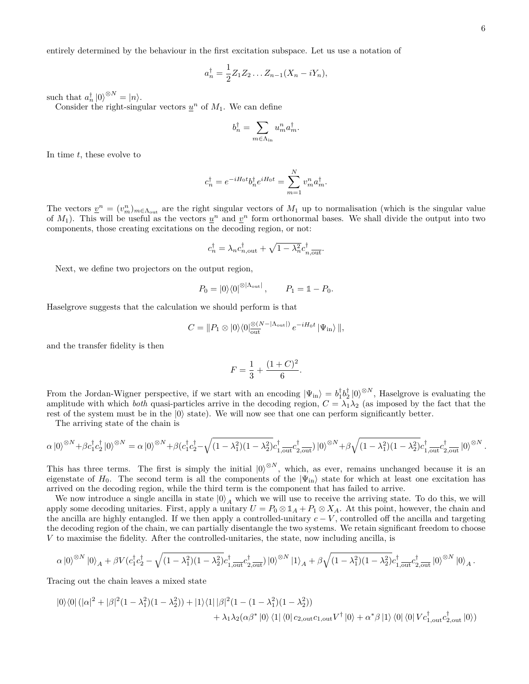entirely determined by the behaviour in the first excitation subspace. Let us use a notation of

$$
a_n^{\dagger} = \frac{1}{2} Z_1 Z_2 \dots Z_{n-1} (X_n - iY_n),
$$

such that  $a_n^{\dagger} |0\rangle^{\otimes N} = |n\rangle$ .

Consider the right-singular vectors  $\underline{u}^n$  of  $M_1$ . We can define

$$
b_n^{\dagger} = \sum_{m \in \Lambda_{\rm in}} u_m^n a_m^{\dagger}.
$$

In time *t*, these evolve to

$$
c_n^{\dagger} = e^{-iH_0t}b_n^{\dagger}e^{iH_0t} = \sum_{m=1}^N v_m^n a_m^{\dagger}.
$$

The vectors  $v^n = (v_m^n)_{m \in \Lambda_{\text{out}}}$  are the right singular vectors of  $M_1$  up to normalisation (which is the singular value of  $M_1$ ). This will be useful as the vectors  $u^n$  and  $v^n$  form orthonormal bases. We shall divide the output into two components, those creating excitations on the decoding region, or not:

$$
c_n^{\dagger} = \lambda_n c_{n,\text{out}}^{\dagger} + \sqrt{1 - \lambda_n^2} c_{n,\text{out}}^{\dagger}.
$$

Next, we define two projectors on the output region,

$$
P_0 = |0\rangle\langle 0|^{\otimes |\Lambda_{\text{out}}|}, \qquad P_1 = \mathbb{1} - P_0.
$$

Haselgrove suggests that the calculation we should perform is that

$$
C = ||P_1 \otimes |0\rangle\langle 0| \frac{\otimes (N - |\Lambda_{\text{out}}|)}{\text{out}} e^{-iH_0 t} |\Psi_{\text{in}}\rangle ||,
$$

and the transfer fidelity is then

$$
F = \frac{1}{3} + \frac{(1+C)^2}{6}.
$$

From the Jordan-Wigner perspective, if we start with an encoding  $|\Psi_{\text{in}}\rangle = b_1^{\dagger} b_2^{\dagger} |0\rangle^{\otimes N}$ , Haselgrove is evaluating the amplitude with which *both* quasi-particles arrive in the decoding region,  $C = \lambda_1 \lambda_2$  (as imposed by the fact that the rest of the system must be in the  $|0\rangle$  state). We will now see that one can perform significantly better.

The arriving state of the chain is

$$
\alpha |0\rangle^{\otimes N} + \beta c_1^{\dagger} c_2^{\dagger} |0\rangle^{\otimes N} = \alpha |0\rangle^{\otimes N} + \beta (c_1^{\dagger} c_2^{\dagger} - \sqrt{(1 - \lambda_1^2)(1 - \lambda_2^2)} c_{1,\overline{\text{out}}}^{\dagger} c_{2,\overline{\text{out}}}^{\dagger}) |0\rangle^{\otimes N} + \beta \sqrt{(1 - \lambda_1^2)(1 - \lambda_2^2)} c_{1,\overline{\text{out}}}^{\dagger} c_{2,\overline{\text{out}}}^{\dagger} |0\rangle^{\otimes N}.
$$

This has three terms. The first is simply the initial  $|0\rangle^{\otimes N}$ , which, as ever, remains unchanged because it is an eigenstate of  $H_0$ . The second term is all the components of the  $|\Psi_{\rm in}\rangle$  state for which at least one excitation has arrived on the decoding region, while the third term is the component that has failed to arrive.

We now introduce a single ancilla in state  $|0\rangle_A$  which we will use to receive the arriving state. To do this, we will apply some decoding unitaries. First, apply a unitary  $U = P_0 \otimes \mathbb{1}_A + P_1 \otimes X_A$ . At this point, however, the chain and the ancilla are highly entangled. If we then apply a controlled-unitary  $c - V$ , controlled off the ancilla and targeting the decoding region of the chain, we can partially disentangle the two systems. We retain significant freedom to choose *V* to maximise the fidelity. After the controlled-unitaries, the state, now including ancilla, is

$$
\alpha\left|0\right>^{\otimes N}\left|0\right>_{A}+\beta V(c_1^\dagger c_2^\dagger-\sqrt{(1-\lambda_1^2)(1-\lambda_2^2)}c_{1,\text{out}}^\dagger c_{2,\text{out}}^\dagger\right)\left|0\right>^{\otimes N}\left|1\right>_{A}+\beta\sqrt{(1-\lambda_1^2)(1-\lambda_2^2)}c_{1,\text{out}}^\dagger c_{2,\text{out}}^\dagger\left|0\right>^{\otimes N}\left|0\right>_{A}.
$$

Tracing out the chain leaves a mixed state

$$
|0\rangle\langle 0| (|\alpha|^2 + |\beta|^2 (1 - \lambda_1^2)(1 - \lambda_2^2)) + |1\rangle\langle 1| |\beta|^2 (1 - (1 - \lambda_1^2)(1 - \lambda_2^2))
$$
  
+  $\lambda_1 \lambda_2 (\alpha \beta^* |0\rangle \langle 1| \langle 0| c_{2,\text{out}} c_{1,\text{out}} V^\dagger |0\rangle + \alpha^* \beta |1\rangle \langle 0| \langle 0| V c_{1,\text{out}}^\dagger c_{2,\text{out}}^\dagger |0\rangle)$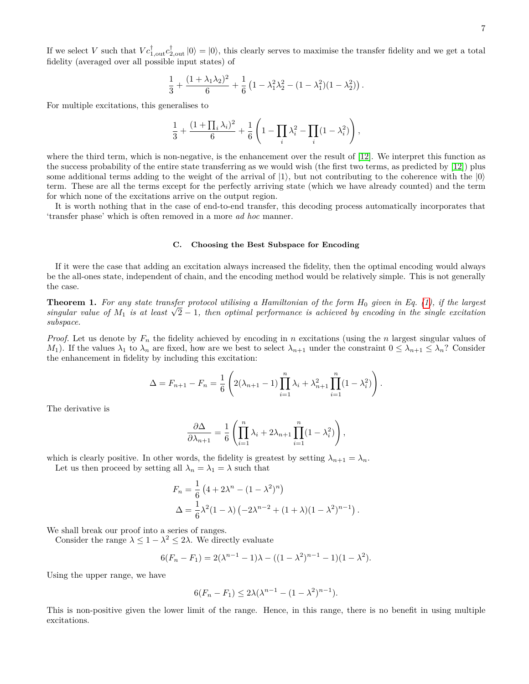If we select *V* such that  $V c_{1,out}^{\dagger} c_{2,out}^{\dagger} |0\rangle = |0\rangle$ , this clearly serves to maximise the transfer fidelity and we get a total fidelity (averaged over all possible input states) of

$$
\frac{1}{3} + \frac{(1+\lambda_1\lambda_2)^2}{6} + \frac{1}{6}\left(1 - \lambda_1^2\lambda_2^2 - (1 - \lambda_1^2)(1 - \lambda_2^2)\right).
$$

For multiple excitations, this generalises to

$$
\frac{1}{3} + \frac{(1 + \prod_i \lambda_i)^2}{6} + \frac{1}{6} \left( 1 - \prod_i \lambda_i^2 - \prod_i (1 - \lambda_i^2) \right),
$$

where the third term, which is non-negative, is the enhancement over the result of [\[12\]](#page-11-3). We interpret this function as the success probability of the entire state transferring as we would wish (the first two terms, as predicted by [\[12\]](#page-11-3)) plus some additional terms adding to the weight of the arrival of  $|1\rangle$ , but not contributing to the coherence with the  $|0\rangle$ term. These are all the terms except for the perfectly arriving state (which we have already counted) and the term for which none of the excitations arrive on the output region.

It is worth nothing that in the case of end-to-end transfer, this decoding process automatically incorporates that 'transfer phase' which is often removed in a more *ad hoc* manner.

### **C. Choosing the Best Subspace for Encoding**

If it were the case that adding an excitation always increased the fidelity, then the optimal encoding would always be the all-ones state, independent of chain, and the encoding method would be relatively simple. This is not generally the case.

**Theorem 1.** *For any state transfer protocol utilising a Hamiltonian of the form H*<sup>0</sup> *given in Eq. [\(1\)](#page-0-1), if the largest* **Theorem 1.** For any state transfer protocol utilising a Hamiltonian of the form  $H_0$  given in Eq. (1), if the largest singular value of  $M_1$  is at least  $\sqrt{2}-1$ , then optimal performance is achieved by encoding in the *subspace.*

*Proof.* Let us denote by *F<sup>n</sup>* the fidelity achieved by encoding in *n* excitations (using the *n* largest singular values of *M*<sub>1</sub>). If the values  $\lambda_1$  to  $\lambda_n$  are fixed, how are we best to select  $\lambda_{n+1}$  under the constraint  $0 \leq \lambda_{n+1} \leq \lambda_n$ ? Consider the enhancement in fidelity by including this excitation:

$$
\Delta = F_{n+1} - F_n = \frac{1}{6} \left( 2(\lambda_{n+1} - 1) \prod_{i=1}^n \lambda_i + \lambda_{n+1}^2 \prod_{i=1}^n (1 - \lambda_i^2) \right).
$$

The derivative is

$$
\frac{\partial \Delta}{\partial \lambda_{n+1}} = \frac{1}{6} \left( \prod_{i=1}^n \lambda_i + 2\lambda_{n+1} \prod_{i=1}^n (1 - \lambda_i^2) \right),
$$

which is clearly positive. In other words, the fidelity is greatest by setting  $\lambda_{n+1} = \lambda_n$ .

Let us then proceed by setting all  $\lambda_n = \lambda_1 = \lambda$  such that

$$
F_n = \frac{1}{6} \left( 4 + 2\lambda^n - (1 - \lambda^2)^n \right)
$$
  
\n
$$
\Delta = \frac{1}{6} \lambda^2 (1 - \lambda) \left( -2\lambda^{n-2} + (1 + \lambda)(1 - \lambda^2)^{n-1} \right).
$$

We shall break our proof into a series of ranges.

Consider the range  $\lambda \leq 1 - \lambda^2 \leq 2\lambda$ . We directly evaluate

$$
6(F_n - F_1) = 2(\lambda^{n-1} - 1)\lambda - ((1 - \lambda^2)^{n-1} - 1)(1 - \lambda^2).
$$

Using the upper range, we have

$$
6(F_n - F_1) \le 2\lambda (\lambda^{n-1} - (1 - \lambda^2)^{n-1}).
$$

This is non-positive given the lower limit of the range. Hence, in this range, there is no benefit in using multiple excitations.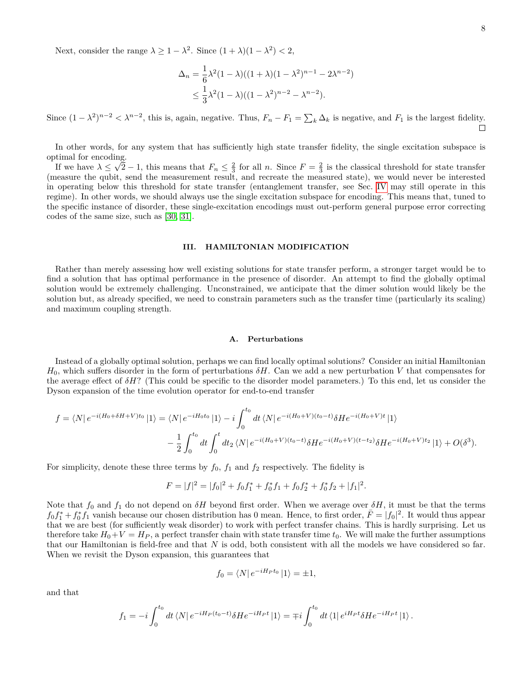Next, consider the range  $\lambda \geq 1 - \lambda^2$ . Since  $(1 + \lambda)(1 - \lambda^2) < 2$ ,

$$
\Delta_n = \frac{1}{6}\lambda^2 (1 - \lambda)((1 + \lambda)(1 - \lambda^2)^{n-1} - 2\lambda^{n-2})
$$
  
 
$$
\leq \frac{1}{3}\lambda^2 (1 - \lambda)((1 - \lambda^2)^{n-2} - \lambda^{n-2}).
$$

Since  $(1 - \lambda^2)^{n-2} < \lambda^{n-2}$ , this is, again, negative. Thus,  $F_n - F_1 = \sum_k \Delta_k$  is negative, and  $F_1$  is the largest fidelity.

In other words, for any system that has sufficiently high state transfer fidelity, the single excitation subspace is optimal for encoding. √

If we have  $\lambda \leq \sqrt{2} - 1$ , this means that  $F_n \leq \frac{2}{3}$  for all *n*. Since  $F = \frac{2}{3}$  is the classical threshold for state transfer (measure the qubit, send the measurement result, and recreate the measured state), we would never be interested in operating below this threshold for state transfer (entanglement transfer, see Sec. [IV](#page-9-0) may still operate in this regime). In other words, we should always use the single excitation subspace for encoding. This means that, tuned to the specific instance of disorder, these single-excitation encodings must out-perform general purpose error correcting codes of the same size, such as [\[30,](#page-11-20) [31\]](#page-11-21).

# **III. HAMILTONIAN MODIFICATION**

Rather than merely assessing how well existing solutions for state transfer perform, a stronger target would be to find a solution that has optimal performance in the presence of disorder. An attempt to find the globally optimal solution would be extremely challenging. Unconstrained, we anticipate that the dimer solution would likely be the solution but, as already specified, we need to constrain parameters such as the transfer time (particularly its scaling) and maximum coupling strength.

#### **A. Perturbations**

Instead of a globally optimal solution, perhaps we can find locally optimal solutions? Consider an initial Hamiltonian  $H_0$ , which suffers disorder in the form of perturbations  $\delta H$ . Can we add a new perturbation *V* that compensates for the average effect of *δH*? (This could be specific to the disorder model parameters.) To this end, let us consider the Dyson expansion of the time evolution operator for end-to-end transfer

$$
f = \langle N | e^{-i(H_0 + \delta H + V)t_0} | 1 \rangle = \langle N | e^{-iH_0t_0} | 1 \rangle - i \int_0^{t_0} dt \langle N | e^{-i(H_0 + V)(t_0 - t)} \delta H e^{-i(H_0 + V)t} | 1 \rangle
$$
  

$$
- \frac{1}{2} \int_0^{t_0} dt \int_0^t dt_2 \langle N | e^{-i(H_0 + V)(t_0 - t)} \delta H e^{-i(H_0 + V)(t - t_2)} \delta H e^{-i(H_0 + V)t_2} | 1 \rangle + O(\delta^3).
$$

For simplicity, denote these three terms by  $f_0$ ,  $f_1$  and  $f_2$  respectively. The fidelity is

$$
F = |f|^2 = |f_0|^2 + f_0f_1^* + f_0^*f_1 + f_0f_2^* + f_0^*f_2 + |f_1|^2.
$$

Note that *f*<sup>0</sup> and *f*<sup>1</sup> do not depend on *δH* beyond first order. When we average over *δH*, it must be that the terms  $f_0 f_1^* + f_0^* f_1$  vanish because our chosen distribution has 0 mean. Hence, to first order,  $\bar{F} = |f_0|^2$ . It would thus appear that we are best (for sufficiently weak disorder) to work with perfect transfer chains. This is hardly surprising. Let us therefore take  $H_0 + V = H_P$ , a perfect transfer chain with state transfer time  $t_0$ . We will make the further assumptions that our Hamiltonian is field-free and that *N* is odd, both consistent with all the models we have considered so far. When we revisit the Dyson expansion, this guarantees that

$$
f_0 = \langle N | e^{-iH_P t_0} | 1 \rangle = \pm 1,
$$

and that

$$
f_1 = -i \int_0^{t_0} dt \, \langle N | e^{-iH_P(t_0 - t)} \delta H e^{-iH_Pt} | 1 \rangle = \mp i \int_0^{t_0} dt \, \langle 1 | e^{iH_Pt} \delta H e^{-iH_Pt} | 1 \rangle.
$$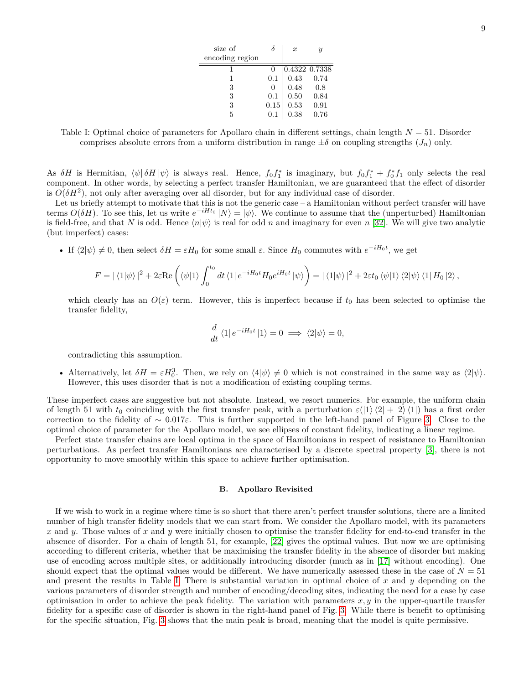| size of         |              | $\boldsymbol{x}$ |               |
|-----------------|--------------|------------------|---------------|
| encoding region |              |                  |               |
|                 |              |                  | 0.4322 0.7338 |
| 1               | 0.1          | 0.43             | 0.74          |
| 3               | $\mathbf{0}$ | 0.48             | 0.8           |
| 3               | 0.1          | 0.50             | 0.84          |
| 3               | 0.15         | 0.53             | 0.91          |
| 5               | 0.1          | 0.38             | 0.76          |

<span id="page-8-0"></span>Table I: Optimal choice of parameters for Apollaro chain in different settings, chain length *N* = 51. Disorder comprises absolute errors from a uniform distribution in range  $\pm \delta$  on coupling strengths  $(J_n)$  only.

As  $\delta H$  is Hermitian,  $\langle \psi | \delta H | \psi \rangle$  is always real. Hence,  $f_0 f_1^*$  is imaginary, but  $f_0 f_1^* + f_0^* f_1$  only selects the real component. In other words, by selecting a perfect transfer Hamiltonian, we are guaranteed that the effect of disorder is  $O(\delta H^2)$ , not only after averaging over all disorder, but for any individual case of disorder.

Let us briefly attempt to motivate that this is not the generic case – a Hamiltonian without perfect transfer will have terms  $O(\delta H)$ . To see this, let us write  $e^{-iHt_0}|N\rangle = |\psi\rangle$ . We continue to assume that the (unperturbed) Hamiltonian is field-free, and that *N* is odd. Hence  $\langle n|\psi\rangle$  is real for odd *n* and imaginary for even *n* [\[32\]](#page-11-22). We will give two analytic (but imperfect) cases:

• If  $\langle 2|\psi \rangle \neq 0$ , then select  $\delta H = \varepsilon H_0$  for some small  $\varepsilon$ . Since  $H_0$  commutes with  $e^{-iH_0t}$ , we get

$$
F = |\langle 1|\psi\rangle|^2 + 2\varepsilon \text{Re}\left(\langle\psi|1\rangle \int_0^{t_0} dt \langle 1|e^{-iH_0t} H_0 e^{iH_0t}|\psi\rangle\right) = |\langle 1|\psi\rangle|^2 + 2\varepsilon t_0 \langle\psi|1\rangle \langle 2|\psi\rangle \langle 1| H_0 |2\rangle,
$$

which clearly has an  $O(\varepsilon)$  term. However, this is imperfect because if  $t_0$  has been selected to optimise the transfer fidelity,

$$
\frac{d}{dt} \langle 1 | e^{-iH_0t} | 1 \rangle = 0 \implies \langle 2 | \psi \rangle = 0,
$$

contradicting this assumption.

• Alternatively, let  $\delta H = \varepsilon H_0^3$ . Then, we rely on  $\langle 4|\psi\rangle \neq 0$  which is not constrained in the same way as  $\langle 2|\psi\rangle$ . However, this uses disorder that is not a modification of existing coupling terms.

These imperfect cases are suggestive but not absolute. Instead, we resort numerics. For example, the uniform chain of length 51 with  $t_0$  coinciding with the first transfer peak, with a perturbation  $\varepsilon(|1\rangle\langle 2| + |2\rangle\langle 1|)$  has a first order correction to the fidelity of ∼ 0*.*017*ε*. This is further supported in the left-hand panel of Figure [3.](#page-9-1) Close to the optimal choice of parameter for the Apollaro model, we see ellipses of constant fidelity, indicating a linear regime.

Perfect state transfer chains are local optima in the space of Hamiltonians in respect of resistance to Hamiltonian perturbations. As perfect transfer Hamiltonians are characterised by a discrete spectral property [\[3\]](#page-10-1), there is not opportunity to move smoothly within this space to achieve further optimisation.

### **B. Apollaro Revisited**

If we wish to work in a regime where time is so short that there aren't perfect transfer solutions, there are a limited number of high transfer fidelity models that we can start from. We consider the Apollaro model, with its parameters *x* and *y*. Those values of *x* and *y* were initially chosen to optimise the transfer fidelity for end-to-end transfer in the absence of disorder. For a chain of length 51, for example, [\[22\]](#page-11-10) gives the optimal values. But now we are optimising according to different criteria, whether that be maximising the transfer fidelity in the absence of disorder but making use of encoding across multiple sites, or additionally introducing disorder (much as in [\[17\]](#page-11-13) without encoding). One should expect that the optimal values would be different. We have numerically assessed these in the case of  $N = 51$ and present the results in Table [I.](#page-8-0) There is substantial variation in optimal choice of *x* and *y* depending on the various parameters of disorder strength and number of encoding/decoding sites, indicating the need for a case by case optimisation in order to achieve the peak fidelity. The variation with parameters  $x, y$  in the upper-quartile transfer fidelity for a specific case of disorder is shown in the right-hand panel of Fig. [3.](#page-9-1) While there is benefit to optimising for the specific situation, Fig. [3](#page-9-1) shows that the main peak is broad, meaning that the model is quite permissive.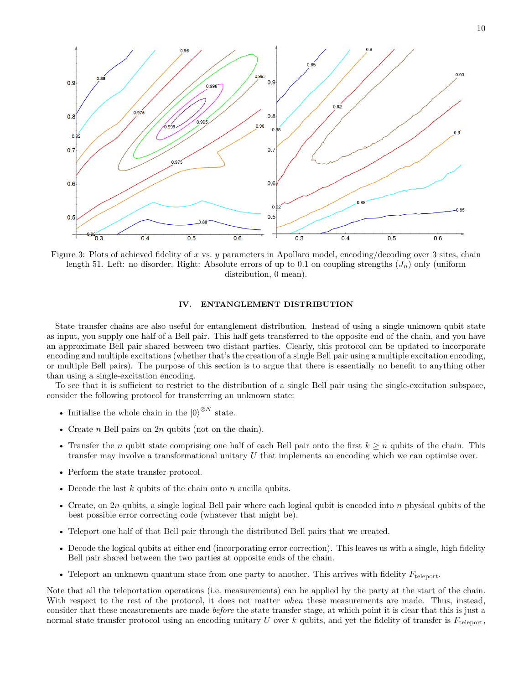<span id="page-9-1"></span>

Figure 3: Plots of achieved fidelity of *x* vs. *y* parameters in Apollaro model, encoding/decoding over 3 sites, chain length 51. Left: no disorder. Right: Absolute errors of up to 0.1 on coupling strengths  $(J_n)$  only (uniform distribution, 0 mean).

# <span id="page-9-0"></span>**IV. ENTANGLEMENT DISTRIBUTION**

State transfer chains are also useful for entanglement distribution. Instead of using a single unknown qubit state as input, you supply one half of a Bell pair. This half gets transferred to the opposite end of the chain, and you have an approximate Bell pair shared between two distant parties. Clearly, this protocol can be updated to incorporate encoding and multiple excitations (whether that's the creation of a single Bell pair using a multiple excitation encoding, or multiple Bell pairs). The purpose of this section is to argue that there is essentially no benefit to anything other than using a single-excitation encoding.

To see that it is sufficient to restrict to the distribution of a single Bell pair using the single-excitation subspace, consider the following protocol for transferring an unknown state:

- Initialise the whole chain in the  $|0\rangle^{\otimes N}$  state.
- Create *n* Bell pairs on 2*n* qubits (not on the chain).
- Transfer the *n* qubit state comprising one half of each Bell pair onto the first  $k \geq n$  qubits of the chain. This transfer may involve a transformational unitary *U* that implements an encoding which we can optimise over.
- Perform the state transfer protocol.
- Decode the last *k* qubits of the chain onto *n* ancilla qubits.
- Create, on 2*n* qubits, a single logical Bell pair where each logical qubit is encoded into *n* physical qubits of the best possible error correcting code (whatever that might be).
- Teleport one half of that Bell pair through the distributed Bell pairs that we created.
- Decode the logical qubits at either end (incorporating error correction). This leaves us with a single, high fidelity Bell pair shared between the two parties at opposite ends of the chain.
- Teleport an unknown quantum state from one party to another. This arrives with fidelity  $F_{\text{teleport}}$ .

Note that all the teleportation operations (i.e. measurements) can be applied by the party at the start of the chain. With respect to the rest of the protocol, it does not matter *when* these measurements are made. Thus, instead, consider that these measurements are made *before* the state transfer stage, at which point it is clear that this is just a normal state transfer protocol using an encoding unitary *U* over *k* qubits, and yet the fidelity of transfer is  $F_{\text{teleport}}$ ,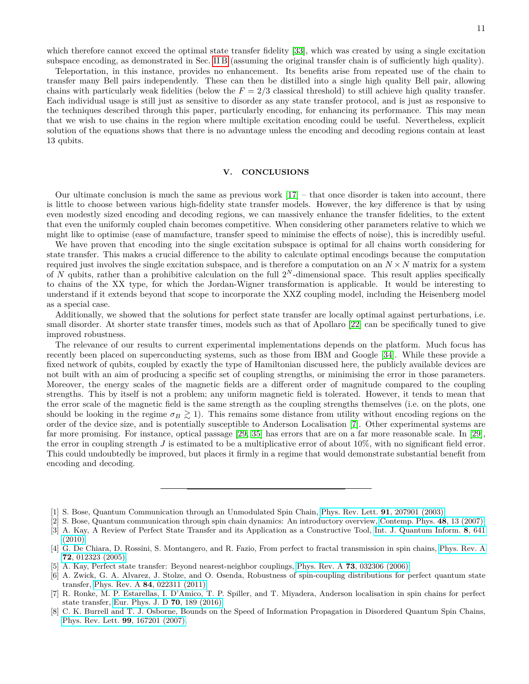which therefore cannot exceed the optimal state transfer fidelity [\[33\]](#page-11-23), which was created by using a single excitation subspace encoding, as demonstrated in Sec. [II B](#page-4-2) (assuming the original transfer chain is of sufficiently high quality).

Teleportation, in this instance, provides no enhancement. Its benefits arise from repeated use of the chain to transfer many Bell pairs independently. These can then be distilled into a single high quality Bell pair, allowing chains with particularly weak fidelities (below the  $F = 2/3$  classical threshold) to still achieve high quality transfer. Each individual usage is still just as sensitive to disorder as any state transfer protocol, and is just as responsive to the techniques described through this paper, particularly encoding, for enhancing its performance. This may mean that we wish to use chains in the region where multiple excitation encoding could be useful. Nevertheless, explicit solution of the equations shows that there is no advantage unless the encoding and decoding regions contain at least 13 qubits.

### **V. CONCLUSIONS**

Our ultimate conclusion is much the same as previous work  $[17]$  – that once disorder is taken into account, there is little to choose between various high-fidelity state transfer models. However, the key difference is that by using even modestly sized encoding and decoding regions, we can massively enhance the transfer fidelities, to the extent that even the uniformly coupled chain becomes competitive. When considering other parameters relative to which we might like to optimise (ease of manufacture, transfer speed to minimise the effects of noise), this is incredibly useful.

We have proven that encoding into the single excitation subspace is optimal for all chains worth considering for state transfer. This makes a crucial difference to the ability to calculate optimal encodings because the computation required just involves the single excitation subspace, and is therefore a computation on an  $N \times N$  matrix for a system of *N* qubits, rather than a prohibitive calculation on the full 2*<sup>N</sup>* -dimensional space. This result applies specifically to chains of the XX type, for which the Jordan-Wigner transformation is applicable. It would be interesting to understand if it extends beyond that scope to incorporate the XXZ coupling model, including the Heisenberg model as a special case.

Additionally, we showed that the solutions for perfect state transfer are locally optimal against perturbations, i.e. small disorder. At shorter state transfer times, models such as that of Apollaro [\[22\]](#page-11-10) can be specifically tuned to give improved robustness.

The relevance of our results to current experimental implementations depends on the platform. Much focus has recently been placed on superconducting systems, such as those from IBM and Google [\[34\]](#page-11-24). While these provide a fixed network of qubits, coupled by exactly the type of Hamiltonian discussed here, the publicly available devices are not built with an aim of producing a specific set of coupling strengths, or minimising the error in those parameters. Moreover, the energy scales of the magnetic fields are a different order of magnitude compared to the coupling strengths. This by itself is not a problem; any uniform magnetic field is tolerated. However, it tends to mean that the error scale of the magnetic field is the same strength as the coupling strengths themselves (i.e. on the plots, one should be looking in the regime  $\sigma_B \gtrsim 1$ ). This remains some distance from utility without encoding regions on the order of the device size, and is potentially susceptible to Anderson Localisation [\[7\]](#page-10-4). Other experimental systems are far more promising. For instance, optical passage [\[29,](#page-11-19) [35\]](#page-11-25) has errors that are on a far more reasonable scale. In [\[29\]](#page-11-19), the error in coupling strength *J* is estimated to be a multiplicative error of about 10%, with no significant field error. This could undoubtedly be improved, but places it firmly in a regime that would demonstrate substantial benefit from encoding and decoding.

<span id="page-10-0"></span><sup>[1]</sup> S. Bose, Quantum Communication through an Unmodulated Spin Chain, [Phys. Rev. Lett.](https://doi.org/10.1103/PhysRevLett.91.207901) **91**, 207901 (2003).

<sup>[2]</sup> S. Bose, Quantum communication through spin chain dynamics: An introductory overview, [Contemp. Phys.](https://doi.org/10.1080/00107510701342313) **48**, 13 (2007).

<span id="page-10-1"></span><sup>[3]</sup> A. Kay, A Review of Perfect State Transfer and its Application as a Constructive Tool, [Int. J. Quantum Inform.](https://doi.org/10.1142/S0219749910006514) **8**, 641 [\(2010\).](https://doi.org/10.1142/S0219749910006514)

<span id="page-10-2"></span><sup>[4]</sup> G. De Chiara, D. Rossini, S. Montangero, and R. Fazio, From perfect to fractal transmission in spin chains, [Phys. Rev. A](https://doi.org/10.1103/PhysRevA.72.012323) **72**[, 012323 \(2005\).](https://doi.org/10.1103/PhysRevA.72.012323)

<sup>[5]</sup> A. Kay, Perfect state transfer: Beyond nearest-neighbor couplings, Phys. Rev. A **73**[, 032306 \(2006\).](https://doi.org/10.1103/PhysRevA.73.032306)

<sup>[6]</sup> A. Zwick, G. A. Alvarez, J. Stolze, and O. Osenda, Robustness of spin-coupling distributions for perfect quantum state transfer, Phys. Rev. A **84**[, 022311 \(2011\).](https://doi.org/10.1103/PhysRevA.84.022311)

<span id="page-10-4"></span><sup>[7]</sup> R. Ronke, M. P. Estarellas, I. D'Amico, T. P. Spiller, and T. Miyadera, Anderson localisation in spin chains for perfect state transfer, [Eur. Phys. J. D](https://doi.org/10.1140/epjd/e2016-60665-0) **70**, 189 (2016).

<span id="page-10-3"></span><sup>[8]</sup> C. K. Burrell and T. J. Osborne, Bounds on the Speed of Information Propagation in Disordered Quantum Spin Chains, [Phys. Rev. Lett.](https://doi.org/10.1103/PhysRevLett.99.167201) **99**, 167201 (2007).